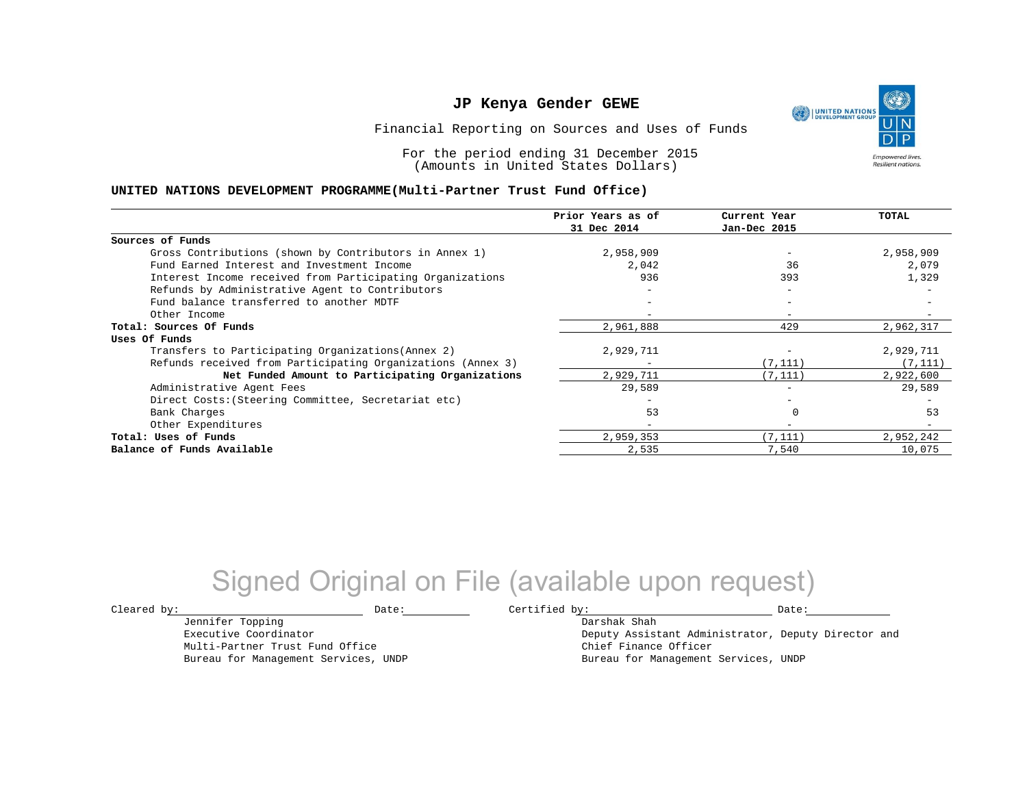UNITED NATIONS **Empowered lives Resilient nations.** 

Financial Reporting on Sources and Uses of Funds

For the period ending 31 December 2015 (Amounts in United States Dollars)

#### **UNITED NATIONS DEVELOPMENT PROGRAMME(Multi-Partner Trust Fund Office)**

|                                                             | Prior Years as of | Current Year             | TOTAL     |
|-------------------------------------------------------------|-------------------|--------------------------|-----------|
|                                                             | 31 Dec 2014       | Jan-Dec 2015             |           |
| Sources of Funds                                            |                   |                          |           |
| Gross Contributions (shown by Contributors in Annex 1)      | 2,958,909         |                          | 2,958,909 |
| Fund Earned Interest and Investment Income                  | 2,042             | 36                       | 2,079     |
| Interest Income received from Participating Organizations   | 936               | 393                      | 1,329     |
| Refunds by Administrative Agent to Contributors             | $-$               | $\overline{\phantom{m}}$ |           |
| Fund balance transferred to another MDTF                    |                   | $\overline{\phantom{0}}$ |           |
| Other Income                                                |                   |                          |           |
| Total: Sources Of Funds                                     | 2,961,888         | 429                      | 2,962,317 |
| Uses Of Funds                                               |                   |                          |           |
| Transfers to Participating Organizations (Annex 2)          | 2,929,711         |                          | 2,929,711 |
| Refunds received from Participating Organizations (Annex 3) |                   | (7, 111)                 | (7, 111)  |
| Net Funded Amount to Participating Organizations            | 2,929,711         | (7, 111)                 | 2,922,600 |
| Administrative Agent Fees                                   | 29,589            |                          | 29,589    |
| Direct Costs: (Steering Committee, Secretariat etc)         |                   |                          |           |
| Bank Charges                                                | 53                |                          | 53        |
| Other Expenditures                                          |                   |                          |           |
| Total: Uses of Funds                                        | 2,959,353         | (7.111)                  | 2,952,242 |
| Balance of Funds Available                                  | 2,535             | 7,540                    | 10,075    |

## Signed Original on File (available upon request)

Jennifer Topping Executive Coordinator Multi-Partner Trust Fund Office Bureau for Management Services, UNDP

 $\texttt{Cleared by:}\footnotesize \begin{minipage}{0.9\linewidth} \texttt{Date:}\footnotesize \begin{minipage}{0.9\linewidth} \texttt{Date:}\footnotesize \begin{minipage}{0.9\linewidth} \end{minipage} \end{minipage}$ 

Darshak Shah Deputy Assistant Administrator, Deputy Director and Chief Finance Officer Bureau for Management Services, UNDP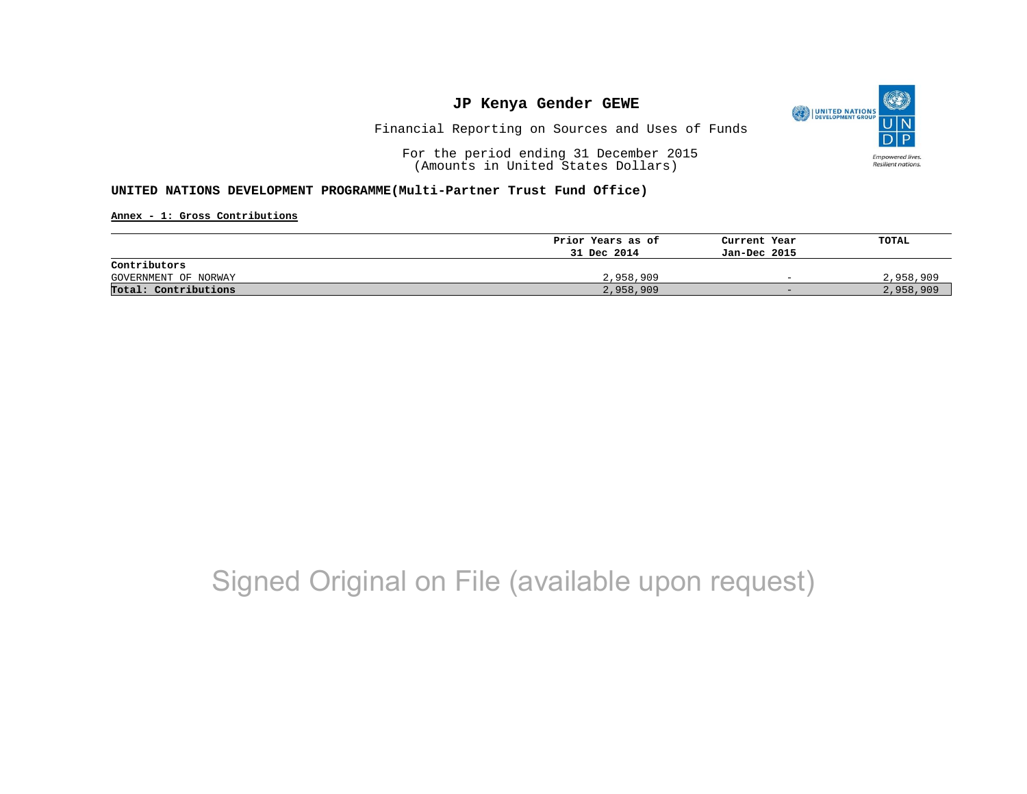

Financial Reporting on Sources and Uses of Funds

For the period ending 31 December 2015 (Amounts in United States Dollars)

#### **UNITED NATIONS DEVELOPMENT PROGRAMME(Multi-Partner Trust Fund Office)**

**Annex - 1: Gross Contributions**

|                      | Prior Years as of | Current Year             | TOTAL     |
|----------------------|-------------------|--------------------------|-----------|
|                      | 31 Dec 2014       | Jan-Dec 2015             |           |
| Contributors         |                   |                          |           |
| GOVERNMENT OF NORWAY | 2,958,909         | $\overline{\phantom{0}}$ | 2,958,909 |
| Total: Contributions | 2,958,909         | $-$                      | 2,958,909 |

## Signed Original on File (available upon request)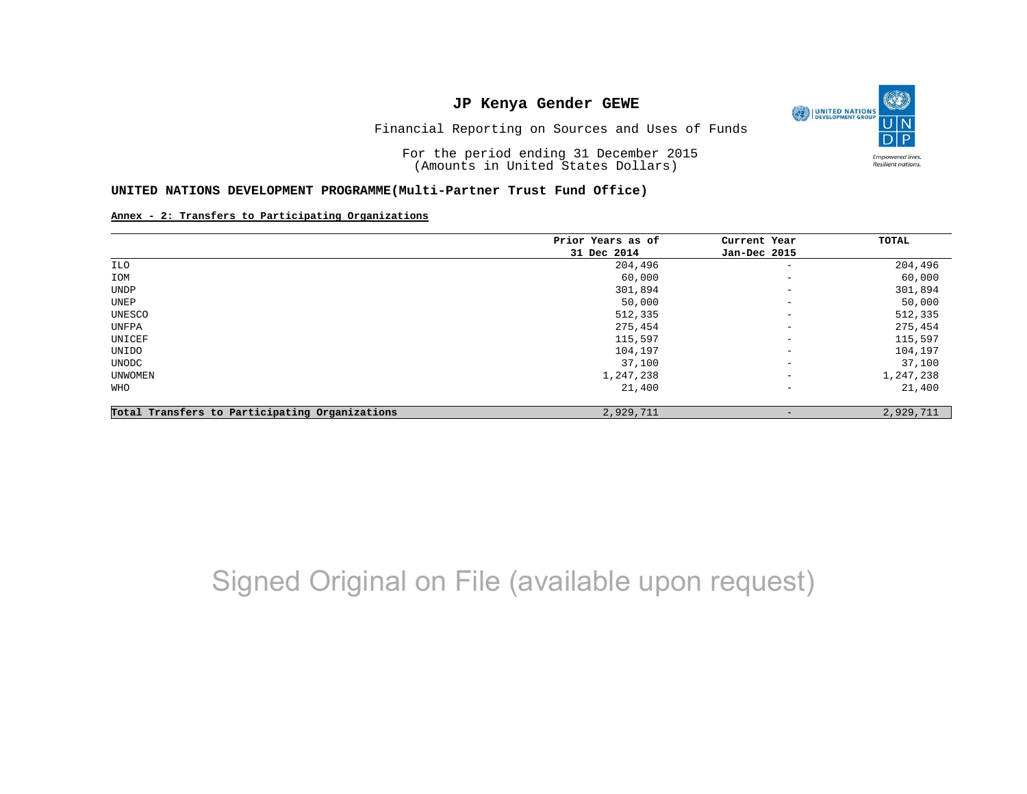

Financial Reporting on Sources and Uses of Funds

For the period ending 31 December 2015 (Amounts in United States Dollars)

#### **UNITED NATIONS DEVELOPMENT PROGRAMME(Multi-Partner Trust Fund Office)**

#### **Annex - 2: Transfers to Participating Organizations**

|                                                | Prior Years as of | Current Year             | TOTAL     |
|------------------------------------------------|-------------------|--------------------------|-----------|
|                                                | 31 Dec 2014       | Jan-Dec 2015             |           |
| ILO                                            | 204,496           | $\qquad \qquad -$        | 204,496   |
| IOM                                            | 60,000            | $\overline{\phantom{a}}$ | 60,000    |
| UNDP                                           | 301,894           | $\overline{\phantom{m}}$ | 301,894   |
| UNEP                                           | 50,000            | $\qquad \qquad -$        | 50,000    |
| UNESCO                                         | 512,335           | $\overline{\phantom{m}}$ | 512,335   |
| UNFPA                                          | 275,454           | $\overline{\phantom{m}}$ | 275,454   |
| UNICEF                                         | 115,597           | $\overline{\phantom{a}}$ | 115,597   |
| UNIDO                                          | 104,197           | $\overline{\phantom{m}}$ | 104,197   |
| UNODC                                          | 37,100            | $\overline{\phantom{m}}$ | 37,100    |
| UNWOMEN                                        | 1,247,238         | $\overline{\phantom{m}}$ | 1,247,238 |
| WHO                                            | 21,400            | $\qquad \qquad -$        | 21,400    |
| Total Transfers to Participating Organizations | 2,929,711         | $\qquad \qquad$          | 2,929,711 |

## Signed Original on File (available upon request)